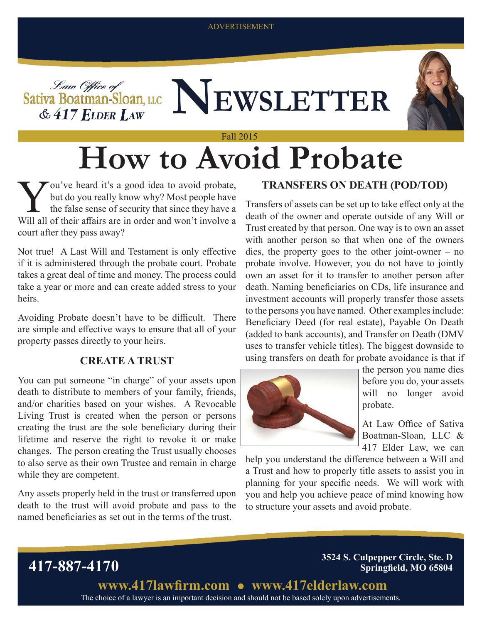#### ADVERTISEMENT





You've heard it's a good idea to avoid probate,<br>but do you really know why? Most people have<br>the false sense of security that since they have a<br>Will all of their affairs are in order and won't involve a but do you really know why? Most people have the false sense of security that since they have a Will all of their affairs are in order and won't involve a court after they pass away?

Not true! A Last Will and Testament is only effective if it is administered through the probate court. Probate takes a great deal of time and money. The process could take a year or more and can create added stress to your heirs.

Avoiding Probate doesn't have to be difficult. There are simple and effective ways to ensure that all of your property passes directly to your heirs.

### **CREATE A TRUST**

You can put someone "in charge" of your assets upon death to distribute to members of your family, friends, and/or charities based on your wishes. A Revocable Living Trust is created when the person or persons creating the trust are the sole beneficiary during their lifetime and reserve the right to revoke it or make changes. The person creating the Trust usually chooses to also serve as their own Trustee and remain in charge while they are competent.

Any assets properly held in the trust or transferred upon death to the trust will avoid probate and pass to the named beneficiaries as set out in the terms of the trust.

## **TRANSFERS ON DEATH (POD/TOD)**

Transfers of assets can be set up to take effect only at the death of the owner and operate outside of any Will or Trust created by that person. One way is to own an asset with another person so that when one of the owners dies, the property goes to the other joint-owner – no probate involve. However, you do not have to jointly own an asset for it to transfer to another person after death. Naming beneficiaries on CDs, life insurance and investment accounts will properly transfer those assets to the persons you have named. Other examples include: Beneficiary Deed (for real estate), Payable On Death (added to bank accounts), and Transfer on Death (DMV uses to transfer vehicle titles). The biggest downside to using transfers on death for probate avoidance is that if



the person you name dies before you do, your assets will no longer avoid probate.

At Law Office of Sativa Boatman-Sloan, LLC & 417 Elder Law, we can

help you understand the difference between a Will and a Trust and how to properly title assets to assist you in planning for your specific needs. We will work with you and help you achieve peace of mind knowing how to structure your assets and avoid probate.



The choice of a lawyer is an important decision and should not be based solely upon advertisements.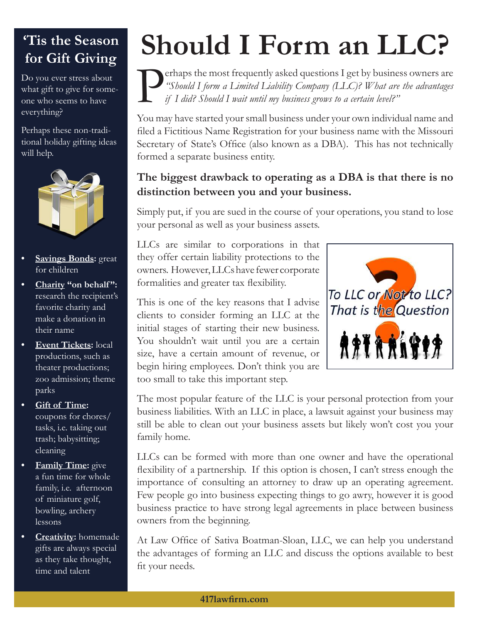## **'Tis the Season for Gift Giving**

Do you ever stress about what gift to give for someone who seems to have everything?

Perhaps these non-traditional holiday gifting ideas will help.



- **• Savings Bonds:** great for children
- **• Charity "on behalf ":**  research the recipient's favorite charity and make a donation in their name
- **• Event Tickets:** local productions, such as theater productions; zoo admission; theme parks
- **• Gift of Time:**  coupons for chores/ tasks, i.e. taking out trash; babysitting; cleaning
- **• Family Time:** give a fun time for whole family, i.e. afternoon of miniature golf, bowling, archery lessons
- **• Creativity:** homemade gifts are always special as they take thought, time and talent

# **Should I Form an LLC?**

**Perhaps the most frequently asked questions I get by business owners are** "Should I form a Limited Liability Company (LLC)? What are the advantages if I did? Should I wait until my business grows to a certain level?" *"Should I form a Limited Liability Company (LLC)? What are the advantages if I did? Should I wait until my business grows to a certain level?"*

You may have started your small business under your own individual name and filed a Fictitious Name Registration for your business name with the Missouri Secretary of State's Office (also known as a DBA). This has not technically formed a separate business entity.

## **The biggest drawback to operating as a DBA is that there is no distinction between you and your business.**

Simply put, if you are sued in the course of your operations, you stand to lose your personal as well as your business assets.

LLCs are similar to corporations in that they offer certain liability protections to the owners. However, LLCs have fewer corporate formalities and greater tax flexibility.

This is one of the key reasons that I advise clients to consider forming an LLC at the initial stages of starting their new business. You shouldn't wait until you are a certain size, have a certain amount of revenue, or begin hiring employees. Don't think you are too small to take this important step.



The most popular feature of the LLC is your personal protection from your business liabilities. With an LLC in place, a lawsuit against your business may still be able to clean out your business assets but likely won't cost you your family home.

LLCs can be formed with more than one owner and have the operational flexibility of a partnership. If this option is chosen, I can't stress enough the importance of consulting an attorney to draw up an operating agreement. Few people go into business expecting things to go awry, however it is good business practice to have strong legal agreements in place between business owners from the beginning.

At Law Office of Sativa Boatman-Sloan, LLC, we can help you understand the advantages of forming an LLC and discuss the options available to best fit your needs.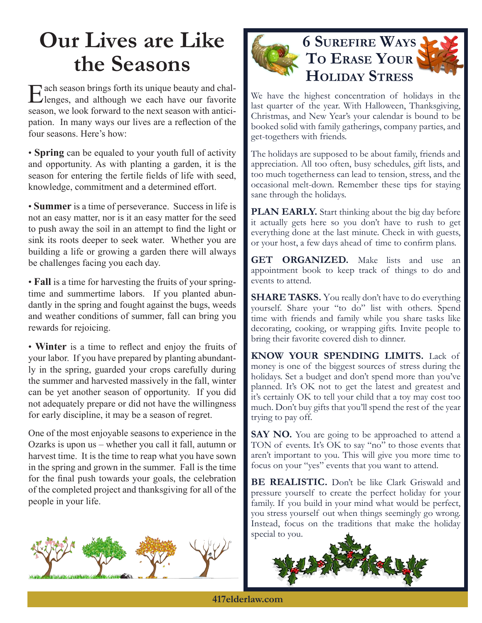# **Our Lives are Like the Seasons**

Tach season brings forth its unique beauty and challenges, and although we each have our favorite season, we look forward to the next season with anticipation. In many ways our lives are a reflection of the four seasons. Here's how:

• **Spring** can be equaled to your youth full of activity and opportunity. As with planting a garden, it is the season for entering the fertile fields of life with seed, knowledge, commitment and a determined effort.

• **Summer** is a time of perseverance. Success in life is not an easy matter, nor is it an easy matter for the seed to push away the soil in an attempt to find the light or sink its roots deeper to seek water. Whether you are building a life or growing a garden there will always be challenges facing you each day.

• **Fall** is a time for harvesting the fruits of your springtime and summertime labors. If you planted abundantly in the spring and fought against the bugs, weeds and weather conditions of summer, fall can bring you rewards for rejoicing.

• **Winter** is a time to reflect and enjoy the fruits of your labor. If you have prepared by planting abundantly in the spring, guarded your crops carefully during the summer and harvested massively in the fall, winter can be yet another season of opportunity. If you did not adequately prepare or did not have the willingness for early discipline, it may be a season of regret.

One of the most enjoyable seasons to experience in the Ozarks is upon us – whether you call it fall, autumn or harvest time. It is the time to reap what you have sown in the spring and grown in the summer. Fall is the time for the final push towards your goals, the celebration of the completed project and thanksgiving for all of the people in your life.





We have the highest concentration of holidays in the last quarter of the year. With Halloween, Thanksgiving, Christmas, and New Year's your calendar is bound to be booked solid with family gatherings, company parties, and get-togethers with friends.

The holidays are supposed to be about family, friends and appreciation. All too often, busy schedules, gift lists, and too much togetherness can lead to tension, stress, and the occasional melt-down. Remember these tips for staying sane through the holidays.

**PLAN EARLY.** Start thinking about the big day before it actually gets here so you don't have to rush to get everything done at the last minute. Check in with guests, or your host, a few days ahead of time to confirm plans.

GET ORGANIZED. Make lists and use an appointment book to keep track of things to do and events to attend.

**SHARE TASKS.** You really don't have to do everything yourself. Share your "to do" list with others. Spend time with friends and family while you share tasks like decorating, cooking, or wrapping gifts. Invite people to bring their favorite covered dish to dinner.

**KNOW YOUR SPENDING LIMITS.** Lack of money is one of the biggest sources of stress during the holidays. Set a budget and don't spend more than you've planned. It's OK not to get the latest and greatest and it's certainly OK to tell your child that a toy may cost too much. Don't buy gifts that you'll spend the rest of the year trying to pay off.

**SAY NO.** You are going to be approached to attend a TON of events. It's OK to say "no" to those events that aren't important to you. This will give you more time to focus on your "yes" events that you want to attend.

**BE REALISTIC.** Don't be like Clark Griswald and pressure yourself to create the perfect holiday for your family. If you build in your mind what would be perfect, you stress yourself out when things seemingly go wrong. Instead, focus on the traditions that make the holiday special to you.